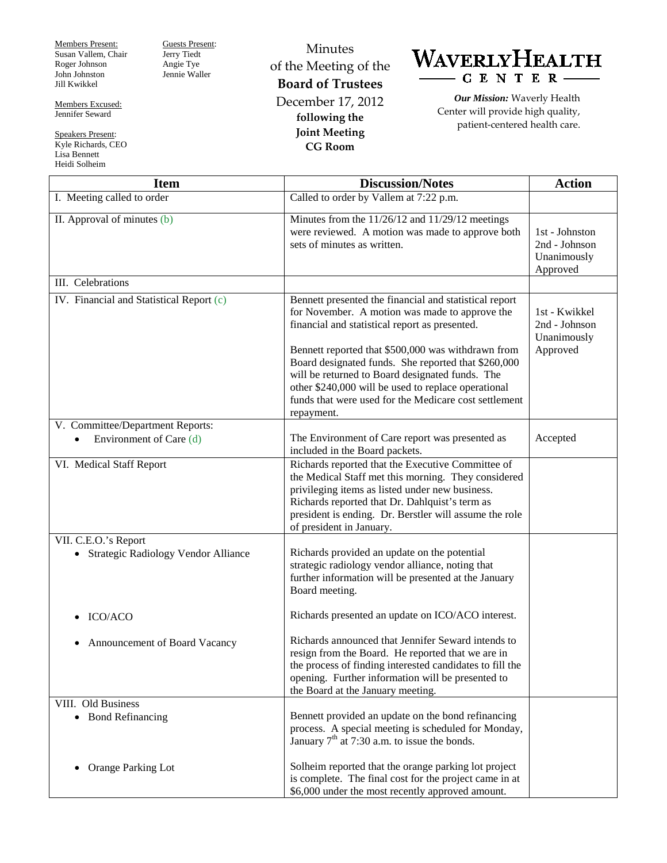Members Present: Susan Vallem, Chair Roger Johnson John Johnston Jill Kwikkel

Members Excused: Jennifer Seward

Speakers Present: Kyle Richards, CEO Lisa Bennett Heidi Solheim

Guests Present: Jerry Tiedt Angie Tye Jennie Waller

Minutes of the Meeting of the **Board of Trustees** December 17, 2012 **following the Joint Meeting CG Room**



*Our Mission:* Waverly Health Center will provide high quality, patient-centered health care.

| <b>Item</b>                                                      | <b>Discussion/Notes</b>                                                                                                                                                                                                                                                                                                    | <b>Action</b>                                              |
|------------------------------------------------------------------|----------------------------------------------------------------------------------------------------------------------------------------------------------------------------------------------------------------------------------------------------------------------------------------------------------------------------|------------------------------------------------------------|
| I. Meeting called to order                                       | Called to order by Vallem at 7:22 p.m.                                                                                                                                                                                                                                                                                     |                                                            |
| II. Approval of minutes (b)                                      | Minutes from the $11/26/12$ and $11/29/12$ meetings<br>were reviewed. A motion was made to approve both<br>sets of minutes as written.                                                                                                                                                                                     | 1st - Johnston<br>2nd - Johnson<br>Unanimously<br>Approved |
| III. Celebrations                                                |                                                                                                                                                                                                                                                                                                                            |                                                            |
| IV. Financial and Statistical Report (c)                         | Bennett presented the financial and statistical report<br>for November. A motion was made to approve the<br>financial and statistical report as presented.<br>Bennett reported that \$500,000 was withdrawn from<br>Board designated funds. She reported that \$260,000<br>will be returned to Board designated funds. The | 1st - Kwikkel<br>2nd - Johnson<br>Unanimously<br>Approved  |
|                                                                  | other \$240,000 will be used to replace operational<br>funds that were used for the Medicare cost settlement<br>repayment.                                                                                                                                                                                                 |                                                            |
| V. Committee/Department Reports:                                 |                                                                                                                                                                                                                                                                                                                            |                                                            |
| Environment of Care (d)                                          | The Environment of Care report was presented as<br>included in the Board packets.                                                                                                                                                                                                                                          | Accepted                                                   |
| VI. Medical Staff Report                                         | Richards reported that the Executive Committee of<br>the Medical Staff met this morning. They considered<br>privileging items as listed under new business.<br>Richards reported that Dr. Dahlquist's term as<br>president is ending. Dr. Berstler will assume the role<br>of president in January.                        |                                                            |
| VII. C.E.O.'s Report<br>Strategic Radiology Vendor Alliance<br>٠ | Richards provided an update on the potential<br>strategic radiology vendor alliance, noting that<br>further information will be presented at the January<br>Board meeting.                                                                                                                                                 |                                                            |
| ICO/ACO                                                          | Richards presented an update on ICO/ACO interest.                                                                                                                                                                                                                                                                          |                                                            |
| Announcement of Board Vacancy                                    | Richards announced that Jennifer Seward intends to<br>resign from the Board. He reported that we are in<br>the process of finding interested candidates to fill the<br>opening. Further information will be presented to<br>the Board at the January meeting.                                                              |                                                            |
| VIII. Old Business                                               |                                                                                                                                                                                                                                                                                                                            |                                                            |
| • Bond Refinancing                                               | Bennett provided an update on the bond refinancing<br>process. A special meeting is scheduled for Monday,<br>January $7th$ at 7:30 a.m. to issue the bonds.                                                                                                                                                                |                                                            |
| Orange Parking Lot<br>$\bullet$                                  | Solheim reported that the orange parking lot project<br>is complete. The final cost for the project came in at<br>\$6,000 under the most recently approved amount.                                                                                                                                                         |                                                            |